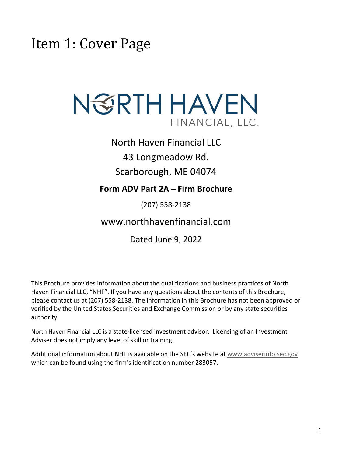<span id="page-0-0"></span>Item 1: Cover Page



North Haven Financial LLC 43 Longmeadow Rd. Scarborough, ME 04074

### **Form ADV Part 2A – Firm Brochure**

(207) 558-2138

www.northhavenfinancial.com

Dated June 9, 2022

This Brochure provides information about the qualifications and business practices of North Haven Financial LLC, "NHF". If you have any questions about the contents of this Brochure, please contact us at (207) 558-2138. The information in this Brochure has not been approved or verified by the United States Securities and Exchange Commission or by any state securities authority.

North Haven Financial LLC is a state-licensed investment advisor. Licensing of an Investment Adviser does not imply any level of skill or training.

Additional information about NHF is available on the SEC's website at [www.adviserinfo.sec.gov](http://www.adviserinfo.sec.gov/) which can be found using the firm's identification number 283057.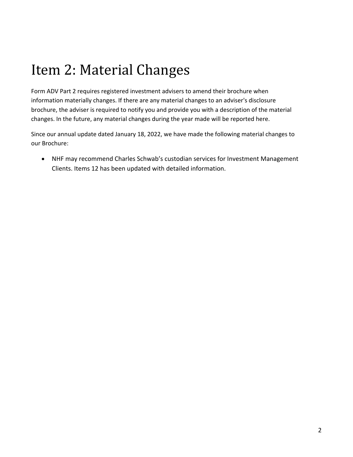# <span id="page-1-0"></span>Item 2: Material Changes

Form ADV Part 2 requires registered investment advisers to amend their brochure when information materially changes. If there are any material changes to an adviser's disclosure brochure, the adviser is required to notify you and provide you with a description of the material changes. In the future, any material changes during the year made will be reported here.

Since our annual update dated January 18, 2022, we have made the following material changes to our Brochure:

• NHF may recommend Charles Schwab's custodian services for Investment Management Clients. Items 12 has been updated with detailed information.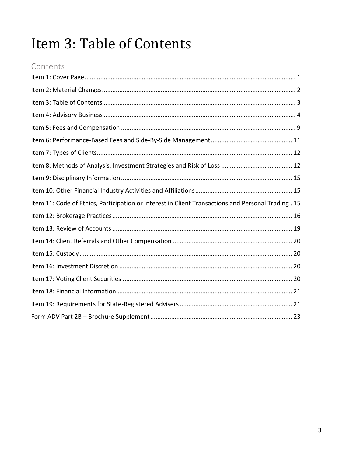# <span id="page-2-0"></span>Item 3: Table of Contents

### Contents

| Item 11: Code of Ethics, Participation or Interest in Client Transactions and Personal Trading . 15 |
|-----------------------------------------------------------------------------------------------------|
|                                                                                                     |
|                                                                                                     |
|                                                                                                     |
|                                                                                                     |
|                                                                                                     |
|                                                                                                     |
|                                                                                                     |
|                                                                                                     |
|                                                                                                     |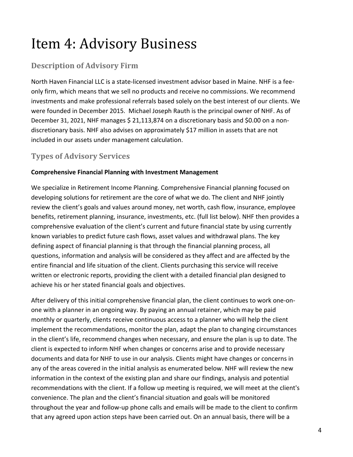# <span id="page-3-0"></span>Item 4: Advisory Business

### **Description of Advisory Firm**

North Haven Financial LLC is a state-licensed investment advisor based in Maine. NHF is a fee‐ only firm, which means that we sell no products and receive no commissions. We recommend investments and make professional referrals based solely on the best interest of our clients. We were founded in December 2015. Michael Joseph Rauth is the principal owner of NHF. As of December 31, 2021, NHF manages \$ 21,113,874 on a discretionary basis and \$0.00 on a nondiscretionary basis. NHF also advises on approximately \$17 million in assets that are not included in our assets under management calculation.

### **Types of Advisory Services**

#### **Comprehensive Financial Planning with Investment Management**

We specialize in Retirement Income Planning. Comprehensive Financial planning focused on developing solutions for retirement are the core of what we do. The client and NHF jointly review the client's goals and values around money, net worth, cash flow, insurance, employee benefits, retirement planning, insurance, investments, etc. (full list below). NHF then provides a comprehensive evaluation of the client's current and future financial state by using currently known variables to predict future cash flows, asset values and withdrawal plans. The key defining aspect of financial planning is that through the financial planning process, all questions, information and analysis will be considered as they affect and are affected by the entire financial and life situation of the client. Clients purchasing this service will receive written or electronic reports, providing the client with a detailed financial plan designed to achieve his or her stated financial goals and objectives.

After delivery of this initial comprehensive financial plan, the client continues to work one-onone with a planner in an ongoing way. By paying an annual retainer, which may be paid monthly or quarterly, clients receive continuous access to a planner who will help the client implement the recommendations, monitor the plan, adapt the plan to changing circumstances in the client's life, recommend changes when necessary, and ensure the plan is up to date. The client is expected to inform NHF when changes or concerns arise and to provide necessary documents and data for NHF to use in our analysis. Clients might have changes or concerns in any of the areas covered in the initial analysis as enumerated below. NHF will review the new information in the context of the existing plan and share our findings, analysis and potential recommendations with the client. If a follow up meeting is required, we will meet at the client's convenience. The plan and the client's financial situation and goals will be monitored throughout the year and follow-up phone calls and emails will be made to the client to confirm that any agreed upon action steps have been carried out. On an annual basis, there will be a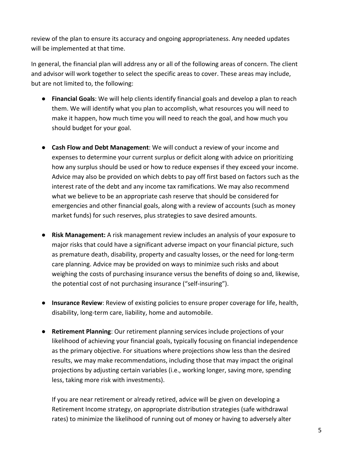review of the plan to ensure its accuracy and ongoing appropriateness. Any needed updates will be implemented at that time.

In general, the financial plan will address any or all of the following areas of concern. The client and advisor will work together to select the specific areas to cover. These areas may include, but are not limited to, the following:

- **Financial Goals**: We will help clients identify financial goals and develop a plan to reach them. We will identify what you plan to accomplish, what resources you will need to make it happen, how much time you will need to reach the goal, and how much you should budget for your goal.
- **Cash Flow and Debt Management**: We will conduct a review of your income and expenses to determine your current surplus or deficit along with advice on prioritizing how any surplus should be used or how to reduce expenses if they exceed your income. Advice may also be provided on which debts to pay off first based on factors such as the interest rate of the debt and any income tax ramifications. We may also recommend what we believe to be an appropriate cash reserve that should be considered for emergencies and other financial goals, along with a review of accounts (such as money market funds) for such reserves, plus strategies to save desired amounts.
- **Risk Management:** A risk management review includes an analysis of your exposure to major risks that could have a significant adverse impact on your financial picture, such as premature death, disability, property and casualty losses, or the need for long-term care planning. Advice may be provided on ways to minimize such risks and about weighing the costs of purchasing insurance versus the benefits of doing so and, likewise, the potential cost of not purchasing insurance ("self-insuring").
- **Insurance Review**: Review of existing policies to ensure proper coverage for life, health, disability, long-term care, liability, home and automobile.
- **Retirement Planning**: Our retirement planning services include projections of your likelihood of achieving your financial goals, typically focusing on financial independence as the primary objective. For situations where projections show less than the desired results, we may make recommendations, including those that may impact the original projections by adjusting certain variables (i.e., working longer, saving more, spending less, taking more risk with investments).

If you are near retirement or already retired, advice will be given on developing a Retirement Income strategy, on appropriate distribution strategies (safe withdrawal rates) to minimize the likelihood of running out of money or having to adversely alter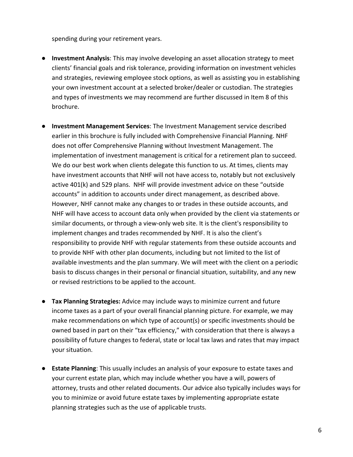spending during your retirement years.

- **Investment Analysis**: This may involve developing an asset allocation strategy to meet clients' financial goals and risk tolerance, providing information on investment vehicles and strategies, reviewing employee stock options, as well as assisting you in establishing your own investment account at a selected broker/dealer or custodian. The strategies and types of investments we may recommend are further discussed in Item 8 of this brochure.
- **Investment Management Services**: The Investment Management service described earlier in this brochure is fully included with Comprehensive Financial Planning. NHF does not offer Comprehensive Planning without Investment Management. The implementation of investment management is critical for a retirement plan to succeed. We do our best work when clients delegate this function to us. At times, clients may have investment accounts that NHF will not have access to, notably but not exclusively active 401(k) and 529 plans. NHF will provide investment advice on these "outside accounts" in addition to accounts under direct management, as described above. However, NHF cannot make any changes to or trades in these outside accounts, and NHF will have access to account data only when provided by the client via statements or similar documents, or through a view-only web site. It is the client's responsibility to implement changes and trades recommended by NHF. It is also the client's responsibility to provide NHF with regular statements from these outside accounts and to provide NHF with other plan documents, including but not limited to the list of available investments and the plan summary. We will meet with the client on a periodic basis to discuss changes in their personal or financial situation, suitability, and any new or revised restrictions to be applied to the account.
- **Tax Planning Strategies:** Advice may include ways to minimize current and future income taxes as a part of your overall financial planning picture. For example, we may make recommendations on which type of account(s) or specific investments should be owned based in part on their "tax efficiency," with consideration that there is always a possibility of future changes to federal, state or local tax laws and rates that may impact your situation.
- **Estate Planning**: This usually includes an analysis of your exposure to estate taxes and your current estate plan, which may include whether you have a will, powers of attorney, trusts and other related documents. Our advice also typically includes ways for you to minimize or avoid future estate taxes by implementing appropriate estate planning strategies such as the use of applicable trusts.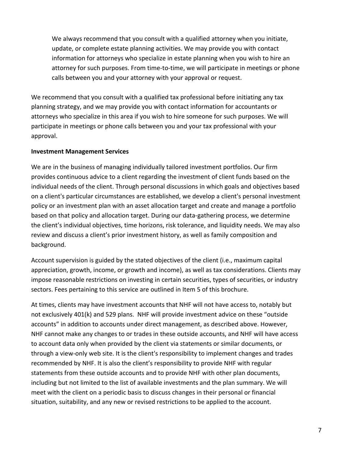We always recommend that you consult with a qualified attorney when you initiate, update, or complete estate planning activities. We may provide you with contact information for attorneys who specialize in estate planning when you wish to hire an attorney for such purposes. From time-to-time, we will participate in meetings or phone calls between you and your attorney with your approval or request.

We recommend that you consult with a qualified tax professional before initiating any tax planning strategy, and we may provide you with contact information for accountants or attorneys who specialize in this area if you wish to hire someone for such purposes. We will participate in meetings or phone calls between you and your tax professional with your approval.

#### **Investment Management Services**

We are in the business of managing individually tailored investment portfolios. Our firm provides continuous advice to a client regarding the investment of client funds based on the individual needs of the client. Through personal discussions in which goals and objectives based on a client's particular circumstances are established, we develop a client's personal investment policy or an investment plan with an asset allocation target and create and manage a portfolio based on that policy and allocation target. During our data-gathering process, we determine the client's individual objectives, time horizons, risk tolerance, and liquidity needs. We may also review and discuss a client's prior investment history, as well as family composition and background.

Account supervision is guided by the stated objectives of the client (i.e., maximum capital appreciation, growth, income, or growth and income), as well as tax considerations. Clients may impose reasonable restrictions on investing in certain securities, types of securities, or industry sectors. Fees pertaining to this service are outlined in Item 5 of this brochure.

At times, clients may have investment accounts that NHF will not have access to, notably but not exclusively 401(k) and 529 plans. NHF will provide investment advice on these "outside accounts" in addition to accounts under direct management, as described above. However, NHF cannot make any changes to or trades in these outside accounts, and NHF will have access to account data only when provided by the client via statements or similar documents, or through a view-only web site. It is the client's responsibility to implement changes and trades recommended by NHF. It is also the client's responsibility to provide NHF with regular statements from these outside accounts and to provide NHF with other plan documents, including but not limited to the list of available investments and the plan summary. We will meet with the client on a periodic basis to discuss changes in their personal or financial situation, suitability, and any new or revised restrictions to be applied to the account.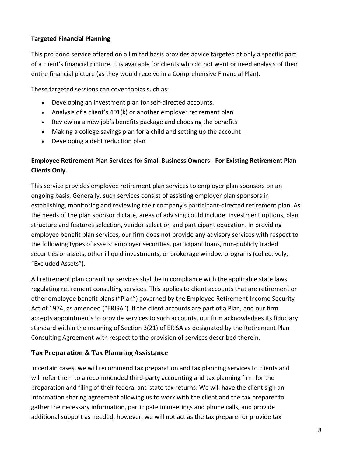#### **Targeted Financial Planning**

This pro bono service offered on a limited basis provides advice targeted at only a specific part of a client's financial picture. It is available for clients who do not want or need analysis of their entire financial picture (as they would receive in a Comprehensive Financial Plan).

These targeted sessions can cover topics such as:

- Developing an investment plan for self-directed accounts.
- Analysis of a client's 401(k) or another employer retirement plan
- Reviewing a new job's benefits package and choosing the benefits
- Making a college savings plan for a child and setting up the account
- Developing a debt reduction plan

### **Employee Retirement Plan Services for Small Business Owners - For Existing Retirement Plan Clients Only.**

This service provides employee retirement plan services to employer plan sponsors on an ongoing basis. Generally, such services consist of assisting employer plan sponsors in establishing, monitoring and reviewing their company's participant-directed retirement plan. As the needs of the plan sponsor dictate, areas of advising could include: investment options, plan structure and features selection, vendor selection and participant education. In providing employee benefit plan services, our firm does not provide any advisory services with respect to the following types of assets: employer securities, participant loans, non-publicly traded securities or assets, other illiquid investments, or brokerage window programs (collectively, "Excluded Assets").

All retirement plan consulting services shall be in compliance with the applicable state laws regulating retirement consulting services. This applies to client accounts that are retirement or other employee benefit plans ("Plan") governed by the Employee Retirement Income Security Act of 1974, as amended ("ERISA"). If the client accounts are part of a Plan, and our firm accepts appointments to provide services to such accounts, our firm acknowledges its fiduciary standard within the meaning of Section 3(21) of ERISA as designated by the Retirement Plan Consulting Agreement with respect to the provision of services described therein.

#### **Tax Preparation & Tax Planning Assistance**

In certain cases, we will recommend tax preparation and tax planning services to clients and will refer them to a recommended third-party accounting and tax planning firm for the preparation and filing of their federal and state tax returns. We will have the client sign an information sharing agreement allowing us to work with the client and the tax preparer to gather the necessary information, participate in meetings and phone calls, and provide additional support as needed, however, we will not act as the tax preparer or provide tax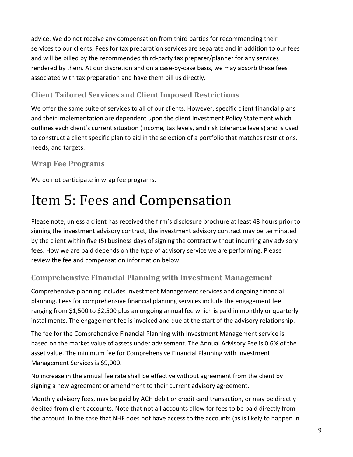advice. We do not receive any compensation from third parties for recommending their services to our clients**.** Fees for tax preparation services are separate and in addition to our fees and will be billed by the recommended third-party tax preparer/planner for any services rendered by them. At our discretion and on a case-by-case basis, we may absorb these fees associated with tax preparation and have them bill us directly.

### **Client Tailored Services and Client Imposed Restrictions**

We offer the same suite of services to all of our clients. However, specific client financial plans and their implementation are dependent upon the client Investment Policy Statement which outlines each client's current situation (income, tax levels, and risk tolerance levels) and is used to construct a client specific plan to aid in the selection of a portfolio that matches restrictions, needs, and targets.

### **Wrap Fee Programs**

We do not participate in wrap fee programs.

## <span id="page-8-0"></span>Item 5: Fees and Compensation

Please note, unless a client has received the firm's disclosure brochure at least 48 hours prior to signing the investment advisory contract, the investment advisory contract may be terminated by the client within five (5) business days of signing the contract without incurring any advisory fees. How we are paid depends on the type of advisory service we are performing. Please review the fee and compensation information below.

### **Comprehensive Financial Planning with Investment Management**

Comprehensive planning includes Investment Management services and ongoing financial planning. Fees for comprehensive financial planning services include the engagement fee ranging from \$1,500 to \$2,500 plus an ongoing annual fee which is paid in monthly or quarterly installments. The engagement fee is invoiced and due at the start of the advisory relationship.

The fee for the Comprehensive Financial Planning with Investment Management service is based on the market value of assets under advisement. The Annual Advisory Fee is 0.6% of the asset value. The minimum fee for Comprehensive Financial Planning with Investment Management Services is \$9,000.

No increase in the annual fee rate shall be effective without agreement from the client by signing a new agreement or amendment to their current advisory agreement.

Monthly advisory fees, may be paid by ACH debit or credit card transaction, or may be directly debited from client accounts. Note that not all accounts allow for fees to be paid directly from the account. In the case that NHF does not have access to the accounts (as is likely to happen in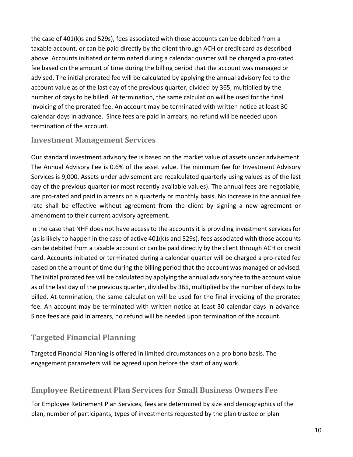the case of 401(k)s and 529s), fees associated with those accounts can be debited from a taxable account, or can be paid directly by the client through ACH or credit card as described above. Accounts initiated or terminated during a calendar quarter will be charged a pro-rated fee based on the amount of time during the billing period that the account was managed or advised. The initial prorated fee will be calculated by applying the annual advisory fee to the account value as of the last day of the previous quarter, divided by 365, multiplied by the number of days to be billed. At termination, the same calculation will be used for the final invoicing of the prorated fee. An account may be terminated with written notice at least 30 calendar days in advance. Since fees are paid in arrears, no refund will be needed upon termination of the account.

#### **Investment Management Services**

Our standard investment advisory fee is based on the market value of assets under advisement. The Annual Advisory Fee is 0.6% of the asset value. The minimum fee for Investment Advisory Services is 9,000. Assets under advisement are recalculated quarterly using values as of the last day of the previous quarter (or most recently available values). The annual fees are negotiable, are pro-rated and paid in arrears on a quarterly or monthly basis. No increase in the annual fee rate shall be effective without agreement from the client by signing a new agreement or amendment to their current advisory agreement.

In the case that NHF does not have access to the accounts it is providing investment services for (as is likely to happen in the case of active 401(k)s and 529s), fees associated with those accounts can be debited from a taxable account or can be paid directly by the client through ACH or credit card. Accounts initiated or terminated during a calendar quarter will be charged a pro-rated fee based on the amount of time during the billing period that the account was managed or advised. The initial prorated fee will be calculated by applying the annual advisory fee to the account value as of the last day of the previous quarter, divided by 365, multiplied by the number of days to be billed. At termination, the same calculation will be used for the final invoicing of the prorated fee. An account may be terminated with written notice at least 30 calendar days in advance. Since fees are paid in arrears, no refund will be needed upon termination of the account.

### **Targeted Financial Planning**

Targeted Financial Planning is offered in limited circumstances on a pro bono basis. The engagement parameters will be agreed upon before the start of any work.

### **Employee Retirement Plan Services for Small Business Owners Fee**

For Employee Retirement Plan Services, fees are determined by size and demographics of the plan, number of participants, types of investments requested by the plan trustee or plan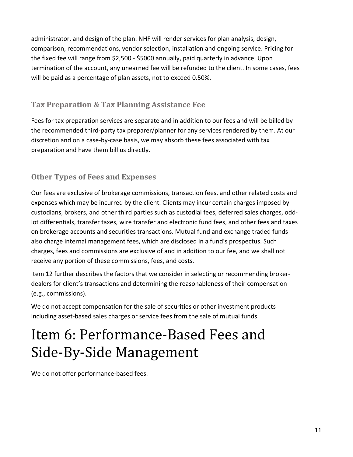administrator, and design of the plan. NHF will render services for plan analysis, design, comparison, recommendations, vendor selection, installation and ongoing service. Pricing for the fixed fee will range from \$2,500 - \$5000 annually, paid quarterly in advance. Upon termination of the account, any unearned fee will be refunded to the client. In some cases, fees will be paid as a percentage of plan assets, not to exceed 0.50%.

### **Tax Preparation & Tax Planning Assistance Fee**

Fees for tax preparation services are separate and in addition to our fees and will be billed by the recommended third-party tax preparer/planner for any services rendered by them. At our discretion and on a case-by-case basis, we may absorb these fees associated with tax preparation and have them bill us directly.

### **Other Types of Fees and Expenses**

Our fees are exclusive of brokerage commissions, transaction fees, and other related costs and expenses which may be incurred by the client. Clients may incur certain charges imposed by custodians, brokers, and other third parties such as custodial fees, deferred sales charges, oddlot differentials, transfer taxes, wire transfer and electronic fund fees, and other fees and taxes on brokerage accounts and securities transactions. Mutual fund and exchange traded funds also charge internal management fees, which are disclosed in a fund's prospectus. Such charges, fees and commissions are exclusive of and in addition to our fee, and we shall not receive any portion of these commissions, fees, and costs.

Item 12 further describes the factors that we consider in selecting or recommending brokerdealers for client's transactions and determining the reasonableness of their compensation (e.g., commissions).

We do not accept compensation for the sale of securities or other investment products including asset-based sales charges or service fees from the sale of mutual funds.

## <span id="page-10-0"></span>Item 6: Performance-Based Fees and Side-By-Side Management

We do not offer performance-based fees.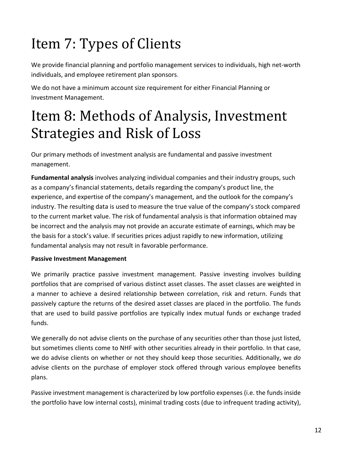# <span id="page-11-0"></span>Item 7: Types of Clients

We provide financial planning and portfolio management services to individuals, high net-worth individuals, and employee retirement plan sponsors.

We do not have a minimum account size requirement for either Financial Planning or Investment Management.

# <span id="page-11-1"></span>Item 8: Methods of Analysis, Investment Strategies and Risk of Loss

Our primary methods of investment analysis are fundamental and passive investment management.

**Fundamental analysis** involves analyzing individual companies and their industry groups, such as a company's financial statements, details regarding the company's product line, the experience, and expertise of the company's management, and the outlook for the company's industry. The resulting data is used to measure the true value of the company's stock compared to the current market value. The risk of fundamental analysis is that information obtained may be incorrect and the analysis may not provide an accurate estimate of earnings, which may be the basis for a stock's value. If securities prices adjust rapidly to new information, utilizing fundamental analysis may not result in favorable performance.

#### **Passive Investment Management**

We primarily practice passive investment management. Passive investing involves building portfolios that are comprised of various distinct asset classes. The asset classes are weighted in a manner to achieve a desired relationship between correlation, risk and return. Funds that passively capture the returns of the desired asset classes are placed in the portfolio. The funds that are used to build passive portfolios are typically index mutual funds or exchange traded funds.

We generally do not advise clients on the purchase of any securities other than those just listed, but sometimes clients come to NHF with other securities already in their portfolio. In that case, we do advise clients on whether or not they should keep those securities. Additionally, we *do*  advise clients on the purchase of employer stock offered through various employee benefits plans.

Passive investment management is characterized by low portfolio expenses (i.e. the funds inside the portfolio have low internal costs), minimal trading costs (due to infrequent trading activity),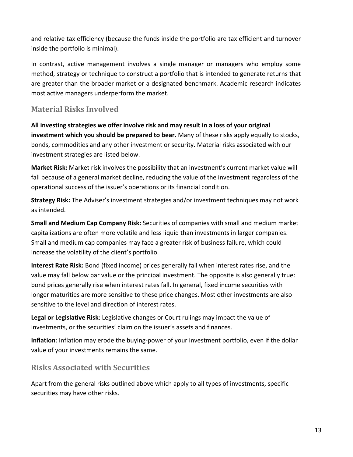and relative tax efficiency (because the funds inside the portfolio are tax efficient and turnover inside the portfolio is minimal).

In contrast, active management involves a single manager or managers who employ some method, strategy or technique to construct a portfolio that is intended to generate returns that are greater than the broader market or a designated benchmark. Academic research indicates most active managers underperform the market.

#### **Material Risks Involved**

**All investing strategies we offer involve risk and may result in a loss of your original investment which you should be prepared to bear.** Many of these risks apply equally to stocks, bonds, commodities and any other investment or security. Material risks associated with our investment strategies are listed below.

**Market Risk:** Market risk involves the possibility that an investment's current market value will fall because of a general market decline, reducing the value of the investment regardless of the operational success of the issuer's operations or its financial condition.

**Strategy Risk:** The Adviser's investment strategies and/or investment techniques may not work as intended.

**Small and Medium Cap Company Risk:** Securities of companies with small and medium market capitalizations are often more volatile and less liquid than investments in larger companies. Small and medium cap companies may face a greater risk of business failure, which could increase the volatility of the client's portfolio.

**Interest Rate Risk:** Bond (fixed income) prices generally fall when interest rates rise, and the value may fall below par value or the principal investment. The opposite is also generally true: bond prices generally rise when interest rates fall. In general, fixed income securities with longer maturities are more sensitive to these price changes. Most other investments are also sensitive to the level and direction of interest rates.

**Legal or Legislative Risk**: Legislative changes or Court rulings may impact the value of investments, or the securities' claim on the issuer's assets and finances.

**Inflation**: Inflation may erode the buying-power of your investment portfolio, even if the dollar value of your investments remains the same.

#### **Risks Associated with Securities**

Apart from the general risks outlined above which apply to all types of investments, specific securities may have other risks.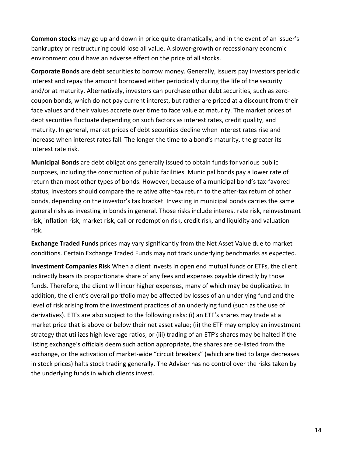**Common stocks** may go up and down in price quite dramatically, and in the event of an issuer's bankruptcy or restructuring could lose all value. A slower-growth or recessionary economic environment could have an adverse effect on the price of all stocks.

**Corporate Bonds** are debt securities to borrow money. Generally, issuers pay investors periodic interest and repay the amount borrowed either periodically during the life of the security and/or at maturity. Alternatively, investors can purchase other debt securities, such as zerocoupon bonds, which do not pay current interest, but rather are priced at a discount from their face values and their values accrete over time to face value at maturity. The market prices of debt securities fluctuate depending on such factors as interest rates, credit quality, and maturity. In general, market prices of debt securities decline when interest rates rise and increase when interest rates fall. The longer the time to a bond's maturity, the greater its interest rate risk.

**Municipal Bonds** are debt obligations generally issued to obtain funds for various public purposes, including the construction of public facilities. Municipal bonds pay a lower rate of return than most other types of bonds. However, because of a municipal bond's tax-favored status, investors should compare the relative after-tax return to the after-tax return of other bonds, depending on the investor's tax bracket. Investing in municipal bonds carries the same general risks as investing in bonds in general. Those risks include interest rate risk, reinvestment risk, inflation risk, market risk, call or redemption risk, credit risk, and liquidity and valuation risk.

**Exchange Traded Funds** prices may vary significantly from the Net Asset Value due to market conditions. Certain Exchange Traded Funds may not track underlying benchmarks as expected.

**Investment Companies Risk** When a client invests in open end mutual funds or ETFs, the client indirectly bears its proportionate share of any fees and expenses payable directly by those funds. Therefore, the client will incur higher expenses, many of which may be duplicative. In addition, the client's overall portfolio may be affected by losses of an underlying fund and the level of risk arising from the investment practices of an underlying fund (such as the use of derivatives). ETFs are also subject to the following risks: (i) an ETF's shares may trade at a market price that is above or below their net asset value; (ii) the ETF may employ an investment strategy that utilizes high leverage ratios; or (iii) trading of an ETF's shares may be halted if the listing exchange's officials deem such action appropriate, the shares are de-listed from the exchange, or the activation of market-wide "circuit breakers" (which are tied to large decreases in stock prices) halts stock trading generally. The Adviser has no control over the risks taken by the underlying funds in which clients invest.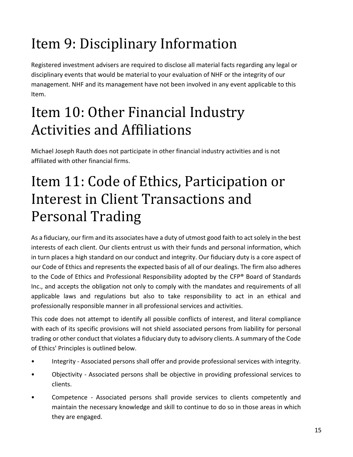# <span id="page-14-0"></span>Item 9: Disciplinary Information

Registered investment advisers are required to disclose all material facts regarding any legal or disciplinary events that would be material to your evaluation of NHF or the integrity of our management. NHF and its management have not been involved in any event applicable to this Item.

## <span id="page-14-1"></span>Item 10: Other Financial Industry Activities and Affiliations

Michael Joseph Rauth does not participate in other financial industry activities and is not affiliated with other financial firms.

# <span id="page-14-2"></span>Item 11: Code of Ethics, Participation or Interest in Client Transactions and Personal Trading

As a fiduciary, our firm and its associates have a duty of utmost good faith to act solely in the best interests of each client. Our clients entrust us with their funds and personal information, which in turn places a high standard on our conduct and integrity. Our fiduciary duty is a core aspect of our Code of Ethics and represents the expected basis of all of our dealings. The firm also adheres to the Code of Ethics and Professional Responsibility adopted by the CFP® Board of Standards Inc., and accepts the obligation not only to comply with the mandates and requirements of all applicable laws and regulations but also to take responsibility to act in an ethical and professionally responsible manner in all professional services and activities.

This code does not attempt to identify all possible conflicts of interest, and literal compliance with each of its specific provisions will not shield associated persons from liability for personal trading or other conduct that violates a fiduciary duty to advisory clients. A summary of the Code of Ethics' Principles is outlined below.

- Integrity Associated persons shall offer and provide professional services with integrity.
- Objectivity Associated persons shall be objective in providing professional services to clients.
- Competence Associated persons shall provide services to clients competently and maintain the necessary knowledge and skill to continue to do so in those areas in which they are engaged.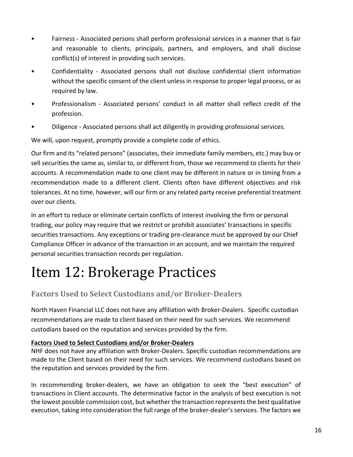- Fairness Associated persons shall perform professional services in a manner that is fair and reasonable to clients, principals, partners, and employers, and shall disclose conflict(s) of interest in providing such services.
- Confidentiality Associated persons shall not disclose confidential client information without the specific consent of the client unless in response to proper legal process, or as required by law.
- Professionalism Associated persons' conduct in all matter shall reflect credit of the profession.
- Diligence Associated persons shall act diligently in providing professional services.

We will, upon request, promptly provide a complete code of ethics.

Our firm and its "related persons" (associates, their immediate family members, etc.) may buy or sell securities the same as, similar to, or different from, those we recommend to clients for their accounts. A recommendation made to one client may be different in nature or in timing from a recommendation made to a different client. Clients often have different objectives and risk tolerances. At no time, however, will our firm or any related party receive preferential treatment over our clients.

In an effort to reduce or eliminate certain conflicts of interest involving the firm or personal trading, our policy may require that we restrict or prohibit associates' transactions in specific securities transactions. Any exceptions or trading pre-clearance must be approved by our Chief Compliance Officer in advance of the transaction in an account, and we maintain the required personal securities transaction records per regulation.

## <span id="page-15-0"></span>Item 12: Brokerage Practices

### **Factors Used to Select Custodians and/or Broker-Dealers**

North Haven Financial LLC does not have any affiliation with Broker-Dealers. Specific custodian recommendations are made to client based on their need for such services. We recommend custodians based on the reputation and services provided by the firm.

#### **Factors Used to Select Custodians and/or Broker-Dealers**

NHF does not have any affiliation with Broker-Dealers. Specific custodian recommendations are made to the Client based on their need for such services. We recommend custodians based on the reputation and services provided by the firm.

In recommending broker-dealers, we have an obligation to seek the "best execution" of transactions in Client accounts. The determinative factor in the analysis of best execution is not the lowest possible commission cost, but whether the transaction represents the best qualitative execution, taking into consideration the full range of the broker-dealer's services. The factors we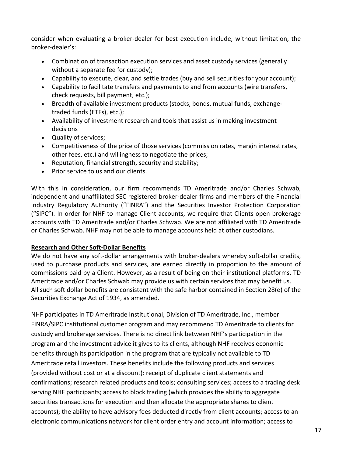consider when evaluating a broker-dealer for best execution include, without limitation, the broker-dealer's:

- Combination of transaction execution services and asset custody services (generally without a separate fee for custody);
- Capability to execute, clear, and settle trades (buy and sell securities for your account);
- Capability to facilitate transfers and payments to and from accounts (wire transfers, check requests, bill payment, etc.);
- Breadth of available investment products (stocks, bonds, mutual funds, exchangetraded funds (ETFs), etc.);
- Availability of investment research and tools that assist us in making investment decisions
- Quality of services;
- Competitiveness of the price of those services (commission rates, margin interest rates, other fees, etc.) and willingness to negotiate the prices;
- Reputation, financial strength, security and stability;
- Prior service to us and our clients.

With this in consideration, our firm recommends TD Ameritrade and/or Charles Schwab, independent and unaffiliated SEC registered broker-dealer firms and members of the Financial Industry Regulatory Authority ("FINRA") and the Securities Investor Protection Corporation ("SIPC"). In order for NHF to manage Client accounts, we require that Clients open brokerage accounts with TD Ameritrade and/or Charles Schwab. We are not affiliated with TD Ameritrade or Charles Schwab. NHF may not be able to manage accounts held at other custodians.

#### **Research and Other Soft-Dollar Benefits**

We do not have any soft-dollar arrangements with broker-dealers whereby soft-dollar credits, used to purchase products and services, are earned directly in proportion to the amount of commissions paid by a Client. However, as a result of being on their institutional platforms, TD Ameritrade and/or Charles Schwab may provide us with certain services that may benefit us. All such soft dollar benefits are consistent with the safe harbor contained in Section 28(e) of the Securities Exchange Act of 1934, as amended.

NHF participates in TD Ameritrade Institutional, Division of TD Ameritrade, Inc., member FINRA/SIPC institutional customer program and may recommend TD Ameritrade to clients for custody and brokerage services. There is no direct link between NHF's participation in the program and the investment advice it gives to its clients, although NHF receives economic benefits through its participation in the program that are typically not available to TD Ameritrade retail investors. These benefits include the following products and services (provided without cost or at a discount): receipt of duplicate client statements and confirmations; research related products and tools; consulting services; access to a trading desk serving NHF participants; access to block trading (which provides the ability to aggregate securities transactions for execution and then allocate the appropriate shares to client accounts); the ability to have advisory fees deducted directly from client accounts; access to an electronic communications network for client order entry and account information; access to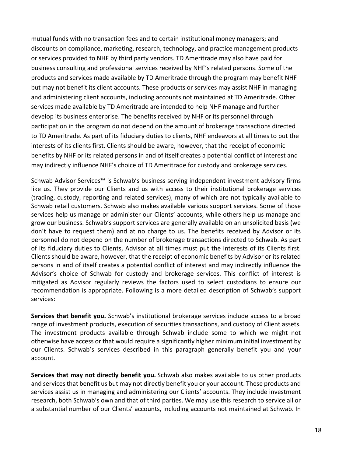mutual funds with no transaction fees and to certain institutional money managers; and discounts on compliance, marketing, research, technology, and practice management products or services provided to NHF by third party vendors. TD Ameritrade may also have paid for business consulting and professional services received by NHF's related persons. Some of the products and services made available by TD Ameritrade through the program may benefit NHF but may not benefit its client accounts. These products or services may assist NHF in managing and administering client accounts, including accounts not maintained at TD Ameritrade. Other services made available by TD Ameritrade are intended to help NHF manage and further develop its business enterprise. The benefits received by NHF or its personnel through participation in the program do not depend on the amount of brokerage transactions directed to TD Ameritrade. As part of its fiduciary duties to clients, NHF endeavors at all times to put the interests of its clients first. Clients should be aware, however, that the receipt of economic benefits by NHF or its related persons in and of itself creates a potential conflict of interest and may indirectly influence NHF's choice of TD Ameritrade for custody and brokerage services.

Schwab Advisor Services™ is Schwab's business serving independent investment advisory firms like us. They provide our Clients and us with access to their institutional brokerage services (trading, custody, reporting and related services), many of which are not typically available to Schwab retail customers. Schwab also makes available various support services. Some of those services help us manage or administer our Clients' accounts, while others help us manage and grow our business. Schwab's support services are generally available on an unsolicited basis (we don't have to request them) and at no charge to us. The benefits received by Advisor or its personnel do not depend on the number of brokerage transactions directed to Schwab. As part of its fiduciary duties to Clients, Advisor at all times must put the interests of its Clients first. Clients should be aware, however, that the receipt of economic benefits by Advisor or its related persons in and of itself creates a potential conflict of interest and may indirectly influence the Advisor's choice of Schwab for custody and brokerage services. This conflict of interest is mitigated as Advisor regularly reviews the factors used to select custodians to ensure our recommendation is appropriate. Following is a more detailed description of Schwab's support services:

**Services that benefit you.** Schwab's institutional brokerage services include access to a broad range of investment products, execution of securities transactions, and custody of Client assets. The investment products available through Schwab include some to which we might not otherwise have access or that would require a significantly higher minimum initial investment by our Clients. Schwab's services described in this paragraph generally benefit you and your account.

**Services that may not directly benefit you.** Schwab also makes available to us other products and services that benefit us but may not directly benefit you or your account. These products and services assist us in managing and administering our Clients' accounts. They include investment research, both Schwab's own and that of third parties. We may use this research to service all or a substantial number of our Clients' accounts, including accounts not maintained at Schwab. In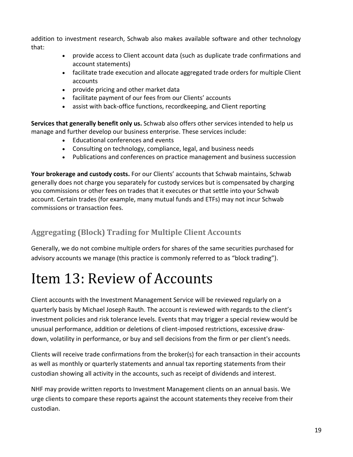addition to investment research, Schwab also makes available software and other technology that:

- provide access to Client account data (such as duplicate trade confirmations and account statements)
- facilitate trade execution and allocate aggregated trade orders for multiple Client accounts
- provide pricing and other market data
- facilitate payment of our fees from our Clients' accounts
- assist with back-office functions, recordkeeping, and Client reporting

**Services that generally benefit only us.** Schwab also offers other services intended to help us manage and further develop our business enterprise. These services include:

- Educational conferences and events
- Consulting on technology, compliance, legal, and business needs
- Publications and conferences on practice management and business succession

**Your brokerage and custody costs.** For our Clients' accounts that Schwab maintains, Schwab generally does not charge you separately for custody services but is compensated by charging you commissions or other fees on trades that it executes or that settle into your Schwab account. Certain trades (for example, many mutual funds and ETFs) may not incur Schwab commissions or transaction fees.

### **Aggregating (Block) Trading for Multiple Client Accounts**

Generally, we do not combine multiple orders for shares of the same securities purchased for advisory accounts we manage (this practice is commonly referred to as "block trading").

## <span id="page-18-0"></span>Item 13: Review of Accounts

Client accounts with the Investment Management Service will be reviewed regularly on a quarterly basis by Michael Joseph Rauth. The account is reviewed with regards to the client's investment policies and risk tolerance levels. Events that may trigger a special review would be unusual performance, addition or deletions of client-imposed restrictions, excessive drawdown, volatility in performance, or buy and sell decisions from the firm or per client's needs.

Clients will receive trade confirmations from the broker(s) for each transaction in their accounts as well as monthly or quarterly statements and annual tax reporting statements from their custodian showing all activity in the accounts, such as receipt of dividends and interest.

NHF may provide written reports to Investment Management clients on an annual basis. We urge clients to compare these reports against the account statements they receive from their custodian.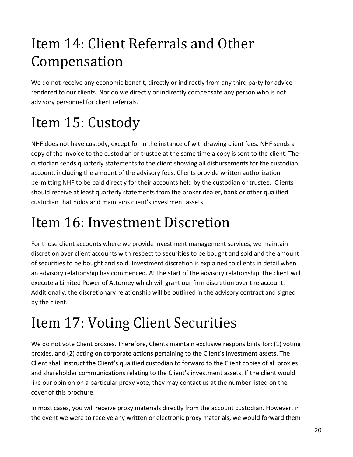# <span id="page-19-0"></span>Item 14: Client Referrals and Other Compensation

We do not receive any economic benefit, directly or indirectly from any third party for advice rendered to our clients. Nor do we directly or indirectly compensate any person who is not advisory personnel for client referrals.

# <span id="page-19-1"></span>Item 15: Custody

NHF does not have custody, except for in the instance of withdrawing client fees. NHF sends a copy of the invoice to the custodian or trustee at the same time a copy is sent to the client. The custodian sends quarterly statements to the client showing all disbursements for the custodian account, including the amount of the advisory fees. Clients provide written authorization permitting NHF to be paid directly for their accounts held by the custodian or trustee. Clients should receive at least quarterly statements from the broker dealer, bank or other qualified custodian that holds and maintains client's investment assets.

# <span id="page-19-2"></span>Item 16: Investment Discretion

For those client accounts where we provide investment management services, we maintain discretion over client accounts with respect to securities to be bought and sold and the amount of securities to be bought and sold. Investment discretion is explained to clients in detail when an advisory relationship has commenced. At the start of the advisory relationship, the client will execute a Limited Power of Attorney which will grant our firm discretion over the account. Additionally, the discretionary relationship will be outlined in the advisory contract and signed by the client.

# <span id="page-19-3"></span>Item 17: Voting Client Securities

We do not vote Client proxies. Therefore, Clients maintain exclusive responsibility for: (1) voting proxies, and (2) acting on corporate actions pertaining to the Client's investment assets. The Client shall instruct the Client's qualified custodian to forward to the Client copies of all proxies and shareholder communications relating to the Client's investment assets. If the client would like our opinion on a particular proxy vote, they may contact us at the number listed on the cover of this brochure.

In most cases, you will receive proxy materials directly from the account custodian. However, in the event we were to receive any written or electronic proxy materials, we would forward them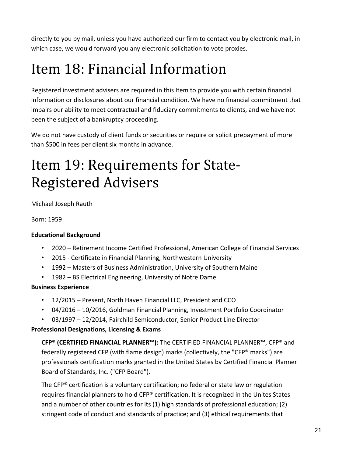directly to you by mail, unless you have authorized our firm to contact you by electronic mail, in which case, we would forward you any electronic solicitation to vote proxies.

# <span id="page-20-0"></span>Item 18: Financial Information

Registered investment advisers are required in this Item to provide you with certain financial information or disclosures about our financial condition. We have no financial commitment that impairs our ability to meet contractual and fiduciary commitments to clients, and we have not been the subject of a bankruptcy proceeding.

We do not have custody of client funds or securities or require or solicit prepayment of more than \$500 in fees per client six months in advance.

## <span id="page-20-1"></span>Item 19: Requirements for State-Registered Advisers

Michael Joseph Rauth

Born: 1959

#### **Educational Background**

- 2020 Retirement Income Certified Professional, American College of Financial Services
- 2015 Certificate in Financial Planning, Northwestern University
- 1992 Masters of Business Administration, University of Southern Maine
- 1982 BS Electrical Engineering, University of Notre Dame

#### **Business Experience**

- 12/2015 Present, North Haven Financial LLC, President and CCO
- 04/2016 10/2016, Goldman Financial Planning, Investment Portfolio Coordinator
- 03/1997 12/2014, Fairchild Semiconductor, Senior Product Line Director

#### **Professional Designations, Licensing & Exams**

**CFP® (CERTIFIED FINANCIAL PLANNER™):** The CERTIFIED FINANCIAL PLANNER™, CFP® and federally registered CFP (with flame design) marks (collectively, the "CFP® marks") are professionals certification marks granted in the United States by Certified Financial Planner Board of Standards, Inc. ("CFP Board").

The CFP® certification is a voluntary certification; no federal or state law or regulation requires financial planners to hold CFP® certification. It is recognized in the Unites States and a number of other countries for its (1) high standards of professional education; (2) stringent code of conduct and standards of practice; and (3) ethical requirements that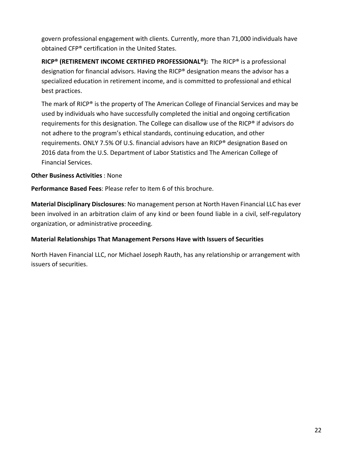govern professional engagement with clients. Currently, more than 71,000 individuals have obtained CFP® certification in the United States.

**RICP® (RETIREMENT INCOME CERTIFIED PROFESSIONAL®):** The RICP® is a professional designation for financial advisors. Having the RICP® designation means the advisor has a specialized education in retirement income, and is committed to professional and ethical best practices.

The mark of RICP® is the property of The American College of Financial Services and may be used by individuals who have successfully completed the initial and ongoing certification requirements for this designation. The College can disallow use of the RICP® if advisors do not adhere to the program's ethical standards, continuing education, and other requirements. ONLY 7.5% Of U.S. financial advisors have an RICP® designation Based on 2016 data from the U.S. Department of Labor Statistics and The American College of Financial Services.

#### **Other Business Activities**: None

**Performance Based Fees**: Please refer to Item 6 of this brochure.

**Material Disciplinary Disclosures**: No management person at North Haven Financial LLC has ever been involved in an arbitration claim of any kind or been found liable in a civil, self-regulatory organization, or administrative proceeding.

#### **Material Relationships That Management Persons Have with Issuers of Securities**

North Haven Financial LLC, nor Michael Joseph Rauth, has any relationship or arrangement with issuers of securities.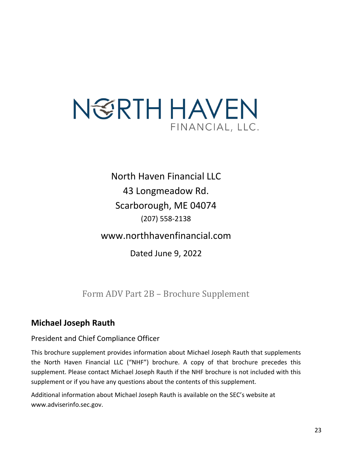# N GRTH HAVEN FINANCIAL, LLC.

North Haven Financial LLC 43 Longmeadow Rd. Scarborough, ME 04074 (207) 558-2138

www.northhavenfinancial.com

Dated June 9, 2022

Form ADV Part 2B – Brochure Supplement

### <span id="page-22-0"></span>**Michael Joseph Rauth**

### President and Chief Compliance Officer

This brochure supplement provides information about Michael Joseph Rauth that supplements the North Haven Financial LLC ("NHF") brochure. A copy of that brochure precedes this supplement. Please contact Michael Joseph Rauth if the NHF brochure is not included with this supplement or if you have any questions about the contents of this supplement.

Additional information about Michael Joseph Rauth is available on the SEC's website at www.adviserinfo.sec.gov.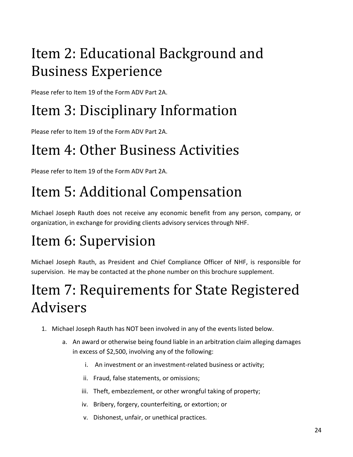# Item 2: Educational Background and Business Experience

Please refer to Item 19 of the Form ADV Part 2A.

# Item 3: Disciplinary Information

Please refer to Item 19 of the Form ADV Part 2A.

# Item 4: Other Business Activities

Please refer to Item 19 of the Form ADV Part 2A.

# Item 5: Additional Compensation

Michael Joseph Rauth does not receive any economic benefit from any person, company, or organization, in exchange for providing clients advisory services through NHF.

# Item 6: Supervision

Michael Joseph Rauth, as President and Chief Compliance Officer of NHF, is responsible for supervision. He may be contacted at the phone number on this brochure supplement.

# Item 7: Requirements for State Registered Advisers

- 1. Michael Joseph Rauth has NOT been involved in any of the events listed below.
	- a. An award or otherwise being found liable in an arbitration claim alleging damages in excess of \$2,500, involving any of the following:
		- i. An investment or an investment-related business or activity;
		- ii. Fraud, false statements, or omissions;
		- iii. Theft, embezzlement, or other wrongful taking of property;
		- iv. Bribery, forgery, counterfeiting, or extortion; or
		- v. Dishonest, unfair, or unethical practices.